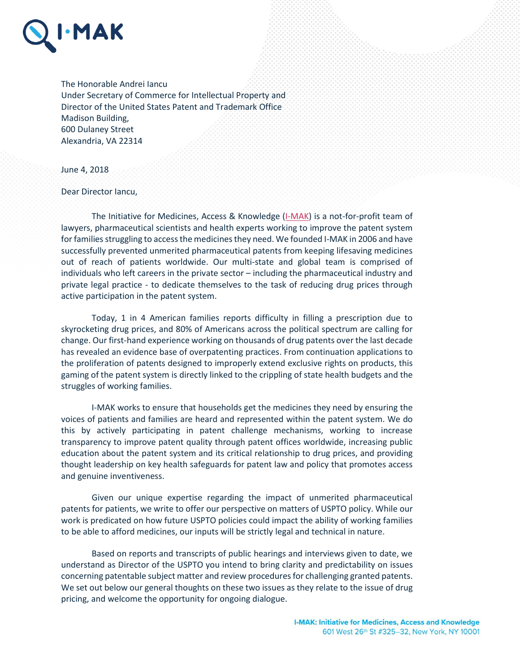

The Honorable Andrei Iancu Under Secretary of Commerce for Intellectual Property and Director of the United States Patent and Trademark Office Madison Building, 600 Dulaney Street Alexandria, VA 22314

June 4, 2018

Dear Director Iancu,

The Initiative for Medicines, Access & Knowledge [\(I-MAK\)](http://www.i-mak.org/) is a not-for-profit team of lawyers, pharmaceutical scientists and health experts working to improve the patent system for families struggling to access the medicines they need. We founded I-MAK in 2006 and have successfully prevented unmerited pharmaceutical patents from keeping lifesaving medicines out of reach of patients worldwide. Our multi-state and global team is comprised of individuals who left careers in the private sector – including the pharmaceutical industry and private legal practice - to dedicate themselves to the task of reducing drug prices through active participation in the patent system.

Today, 1 in 4 American families reports difficulty in filling a prescription due to skyrocketing drug prices, and 80% of Americans across the political spectrum are calling for change. Our first-hand experience working on thousands of drug patents over the last decade has revealed an evidence base of overpatenting practices. From continuation applications to the proliferation of patents designed to improperly extend exclusive rights on products, this gaming of the patent system is directly linked to the crippling of state health budgets and the struggles of working families.

I-MAK works to ensure that households get the medicines they need by ensuring the voices of patients and families are heard and represented within the patent system. We do this by actively participating in patent challenge mechanisms, working to increase transparency to improve patent quality through patent offices worldwide, increasing public education about the patent system and its critical relationship to drug prices, and providing thought leadership on key health safeguards for patent law and policy that promotes access and genuine inventiveness.

Given our unique expertise regarding the impact of unmerited pharmaceutical patents for patients, we write to offer our perspective on matters of USPTO policy. While our work is predicated on how future USPTO policies could impact the ability of working families to be able to afford medicines, our inputs will be strictly legal and technical in nature.

Based on reports and transcripts of public hearings and interviews given to date, we understand as Director of the USPTO you intend to bring clarity and predictability on issues concerning patentable subject matter and review procedures for challenging granted patents. We set out below our general thoughts on these two issues as they relate to the issue of drug pricing, and welcome the opportunity for ongoing dialogue.